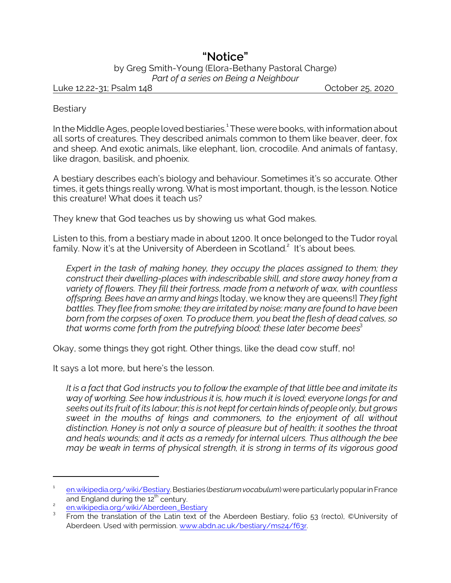## **"Notice"**

by Greg Smith-Young (Elora-Bethany Pastoral Charge) *Part of a series on Being a Neighbour*

Luke 12.22-31; Psalm 148 October 25, 2020

**Bestiary** 

In the Middle Ages, people loved bestiaries.<sup>1</sup> These were books, with information about all sorts of creatures. They described animals common to them like beaver, deer, fox and sheep. And exotic animals, like elephant, lion, crocodile. And animals of fantasy, like dragon, basilisk, and phoenix.

A bestiary describes each's biology and behaviour. Sometimes it's so accurate. Other times, it gets things really wrong. What is most important, though, is the lesson. Notice this creature! What does it teach us?

They knew that God teaches us by showing us what God makes.

Listen to this, from a bestiary made in about 1200. It once belonged to the Tudor royal family. Now it's at the University of Aberdeen in Scotland.<sup>2</sup> It's about bees.

*Expert in the task of making honey, they occupy the places assigned to them; they construct their dwelling-places with indescribable skill, and store away honey from a variety of flowers. They fill their fortress, made from a network of wax, with countless offspring. Bees have an army and kings* [today, we know they are queens!] *They fight battles. They flee from smoke; they are irritated by noise; many are found to have been born from the corpses of oxen. To produce them, you beat the flesh of dead calves, so that worms come forth from the putrefying blood; these later become bees*<sup>3</sup>

Okay, some things they got right. Other things, like the dead cow stuff, no!

It says a lot more, but here's the lesson.

*It is a fact that God instructs you to follow the example of that little bee and imitate its way of working. See how industrious it is, how much it is loved; everyone longs for and seeks out its fruit of its labour; this is not kept for certain kinds of people only, but grows sweet in the mouths of kings and commoners, to the enjoyment of all without distinction. Honey is not only a source of pleasure but of health; it soothes the throat and heals wounds; and it acts as a remedy for internal ulcers. Thus although the bee may be weak in terms of physical strength, it is strong in terms of its vigorous good*

<sup>1</sup> [en.wikipedia.org/wiki/Bestiary](https://en.wikipedia.org/wiki/Bestiary). Bestiaries (*bestiarumvocabulum*) were particularly popular in France and England during the 12<sup>th</sup> century.

 $\overline{2}$ [en.wikipedia.org/wiki/Aberdeen\\_Bestiary](https://en.wikipedia.org/wiki/Aberdeen_Bestiary)

<sup>3</sup> From the translation of the Latin text of the Aberdeen Bestiary, folio 53 (recto), ©University of Aberdeen. Used with permission. [www.abdn.ac.uk/bestiary/ms24/f63r](https://www.abdn.ac.uk/bestiary/ms24/f63r).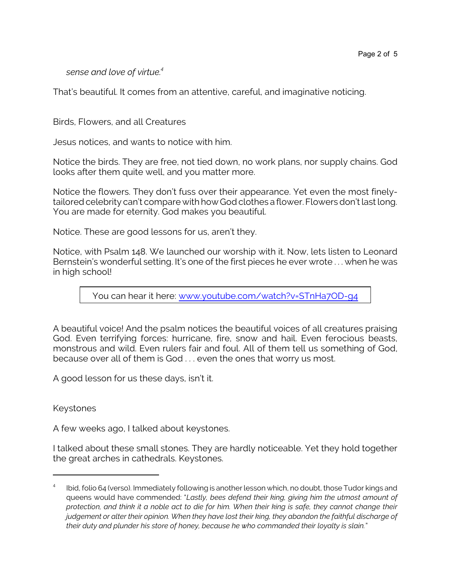*sense and love of virtue.<sup>4</sup>*

That's beautiful. It comes from an attentive, careful, and imaginative noticing.

Birds, Flowers, and all Creatures

Jesus notices, and wants to notice with him.

Notice the birds. They are free, not tied down, no work plans, nor supply chains. God looks after them quite well, and you matter more.

Notice the flowers. They don't fuss over their appearance. Yet even the most finelytailored celebrity can't compare with how God clothes a flower. Flowers don't last long. You are made for eternity. God makes you beautiful.

Notice. These are good lessons for us, aren't they.

Notice, with Psalm 148. We launched our worship with it. Now, lets listen to Leonard Bernstein's wonderful setting. It's one of the first pieces he ever wrote . . . when he was in high school!

You can hear it here: [www.youtube.com/watch?v=STnHa7OD-g4](http://www.youtube.com/watch?v=STnHa7OD-g4)

A beautiful voice! And the psalm notices the beautiful voices of all creatures praising God. Even terrifying forces: hurricane, fire, snow and hail. Even ferocious beasts, monstrous and wild. Even rulers fair and foul. All of them tell us something of God, because over all of them is God . . . even the ones that worry us most.

A good lesson for us these days, isn't it.

Keystones

A few weeks ago, I talked about keystones.

I talked about these small stones. They are hardly noticeable. Yet they hold together the great arches in cathedrals. Keystones.

<sup>4</sup> Ibid, folio 64 (verso). Immediately following is another lesson which, no doubt, those Tudor kings and queens would have commended: "*Lastly, bees defend their king, giving him the utmost amount of protection, and think it a noble act to die for him. When their king is safe, they cannot change their judgement or alter their opinion. When they have lost their king, they abandon the faithful discharge of their duty and plunder his store of honey, because he who commanded their loyalty is slain.*"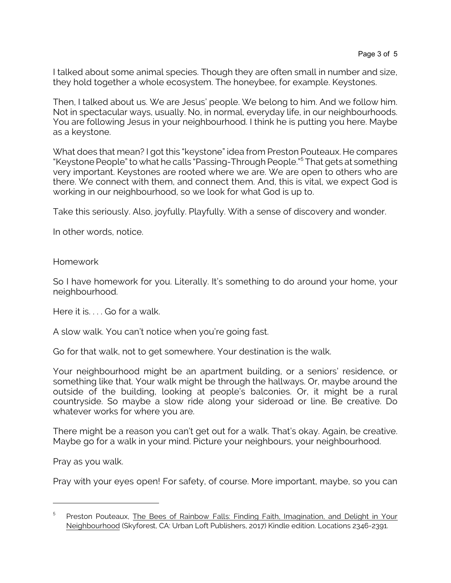I talked about some animal species. Though they are often small in number and size, they hold together a whole ecosystem. The honeybee, for example. Keystones.

Then, I talked about us. We are Jesus' people. We belong to him. And we follow him. Not in spectacular ways, usually. No, in normal, everyday life, in our neighbourhoods. You are following Jesus in your neighbourhood. I think he is putting you here. Maybe as a keystone.

What does that mean? I got this "keystone" idea from Preston Pouteaux. He compares "Keystone People" to what he calls "Passing-Through People."<sup>5</sup> That gets at something very important. Keystones are rooted where we are. We are open to others who are there. We connect with them, and connect them. And, this is vital, we expect God is working in our neighbourhood, so we look for what God is up to.

Take this seriously. Also, joyfully. Playfully. With a sense of discovery and wonder.

In other words, notice.

Homework

So I have homework for you. Literally. It's something to do around your home, your neighbourhood.

Here it is.... Go for a walk.

A slow walk. You can't notice when you're going fast.

Go for that walk, not to get somewhere. Your destination is the walk.

Your neighbourhood might be an apartment building, or a seniors' residence, or something like that. Your walk might be through the hallways. Or, maybe around the outside of the building, looking at people's balconies. Or, it might be a rural countryside. So maybe a slow ride along your sideroad or line. Be creative. Do whatever works for where you are.

There might be a reason you can't get out for a walk. That's okay. Again, be creative. Maybe go for a walk in your mind. Picture your neighbours, your neighbourhood.

Pray as you walk.

Pray with your eyes open! For safety, of course. More important, maybe, so you can

<sup>5</sup> Preston Pouteaux, The Bees of Rainbow Falls: Finding Faith, Imagination, and Delight in Your Neighbourhood (Skyforest, CA: Urban Loft Publishers, 2017) Kindle edition. Locations 2346-2391.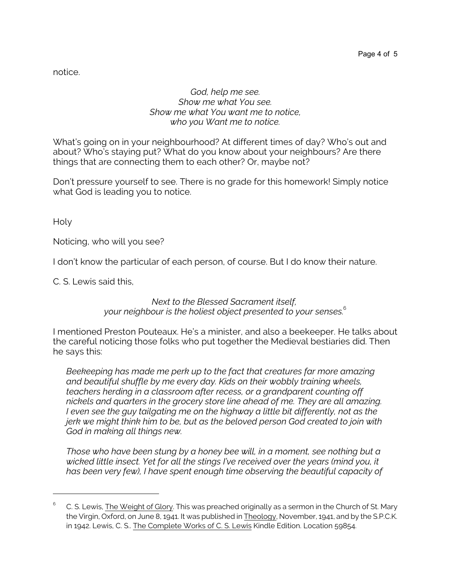notice.

## *God, help me see. Show me what You see. Show me what You want me to notice, who you Want me to notice.*

What's going on in your neighbourhood? At different times of day? Who's out and about? Who's staying put? What do you know about your neighbours? Are there things that are connecting them to each other? Or, maybe not?

Don't pressure yourself to see. There is no grade for this homework! Simply notice what God is leading you to notice.

Holy

Noticing, who will you see?

I don't know the particular of each person, of course. But I do know their nature.

C. S. Lewis said this,

*Next to the Blessed Sacrament itself, your neighbour is the holiest object presented to your senses.*<sup>6</sup>

I mentioned Preston Pouteaux. He's a minister, and also a beekeeper. He talks about the careful noticing those folks who put together the Medieval bestiaries did. Then he says this:

*Beekeeping has made me perk up to the fact that creatures far more amazing and beautiful shuffle by me every day. Kids on their wobbly training wheels, teachers herding in a classroom after recess, or a grandparent counting off nickels and quarters in the grocery store line ahead of me. They are all amazing. I even see the guy tailgating me on the highway a little bit differently, not as the jerk we might think him to be, but as the beloved person God created to join with God in making all things new.* 

*Those who have been stung by a honey bee will, in a moment, see nothing but a wicked little insect. Yet for all the stings I've received over the years (mind you, it has been very few), I have spent enough time observing the beautiful capacity of*

<sup>6</sup> C. S. Lewis, The Weight of Glory. This was preached originally as a sermon in the Church of St. Mary the Virgin, Oxford, on June 8, 1941. It was published in Theology, November, 1941, and by the S.P.C.K. in 1942. Lewis, C. S.. The Complete Works of C. S. Lewis Kindle Edition. Location 59854.